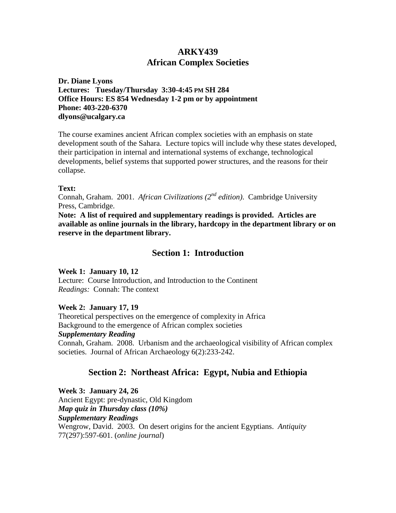# **ARKY439 African Complex Societies**

**Dr. Diane Lyons Lectures: Tuesday/Thursday 3:30-4:45 PM SH 284 Office Hours: ES 854 Wednesday 1-2 pm or by appointment Phone: 403-220-6370 dlyons@ucalgary.ca**

The course examines ancient African complex societies with an emphasis on state development south of the Sahara. Lecture topics will include why these states developed, their participation in internal and international systems of exchange, technological developments, belief systems that supported power structures, and the reasons for their collapse.

## **Text:**

Connah, Graham. 2001. *African Civilizations (2nd edition)*. Cambridge University Press, Cambridge.

**Note: A list of required and supplementary readings is provided. Articles are available as online journals in the library, hardcopy in the department library or on reserve in the department library.** 

# **Section 1: Introduction**

## **Week 1: January 10, 12**

Lecture: Course Introduction, and Introduction to the Continent *Readings:* Connah: The context

## **Week 2: January 17, 19**

Theoretical perspectives on the emergence of complexity in Africa Background to the emergence of African complex societies *Supplementary Reading* Connah, Graham. 2008. Urbanism and the archaeological visibility of African complex societies. Journal of African Archaeology 6(2):233-242.

# **Section 2: Northeast Africa: Egypt, Nubia and Ethiopia**

**Week 3: January 24, 26** Ancient Egypt: pre-dynastic, Old Kingdom *Map quiz in Thursday class (10%) Supplementary Readings* Wengrow, David. 2003. On desert origins for the ancient Egyptians. *Antiquity*  77(297):597-601. (*online journal*)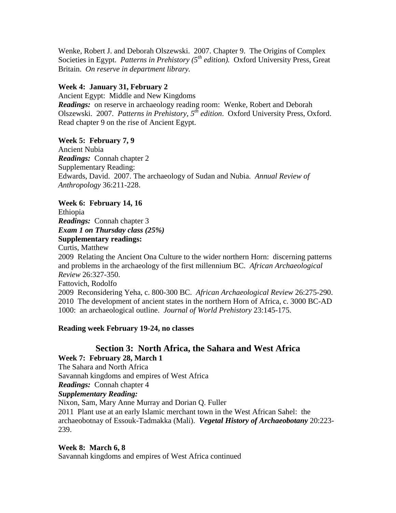Wenke, Robert J. and Deborah Olszewski. 2007. Chapter 9. The Origins of Complex Societies in Egypt. *Patterns in Prehistory (5<sup>th</sup> edition)*. Oxford University Press, Great Britain. *On reserve in department library.*

## **Week 4: January 31, February 2**

Ancient Egypt: Middle and New Kingdoms *Readings:* on reserve in archaeology reading room: Wenke, Robert and Deborah Olszewski. 2007. *Patterns in Prehistory, 5th edition*. Oxford University Press, Oxford. Read chapter 9 on the rise of Ancient Egypt.

## **Week 5: February 7, 9**

Ancient Nubia *Readings:* Connah chapter 2 Supplementary Reading: Edwards, David. 2007. The archaeology of Sudan and Nubia. *Annual Review of Anthropology* 36:211-228.

## **Week 6: February 14, 16**

Ethiopia *Readings:* Connah chapter 3 *Exam 1 on Thursday class (25%)* **Supplementary readings:**

Curtis, Matthew

2009 Relating the Ancient Ona Culture to the wider northern Horn: discerning patterns and problems in the archaeology of the first millennium BC. *African Archaeological Review* 26:327-350.

Fattovich, Rodolfo

2009 Reconsidering Yeha, c. 800-300 BC. *African Archaeological Review* 26:275-290. 2010 The development of ancient states in the northern Horn of Africa, c. 3000 BC-AD 1000: an archaeological outline. *Journal of World Prehistory* 23:145-175.

## **Reading week February 19-24, no classes**

# **Section 3: North Africa, the Sahara and West Africa Week 7: February 28, March 1**

The Sahara and North Africa Savannah kingdoms and empires of West Africa *Readings:* Connah chapter 4 *Supplementary Reading:* 

Nixon, Sam, Mary Anne Murray and Dorian Q. Fuller 2011 Plant use at an early Islamic merchant town in the West African Sahel: the archaeobotnay of Essouk-Tadmakka (Mali). *Vegetal History of Archaeobotany* 20:223- 239.

## **Week 8: March 6, 8**

Savannah kingdoms and empires of West Africa continued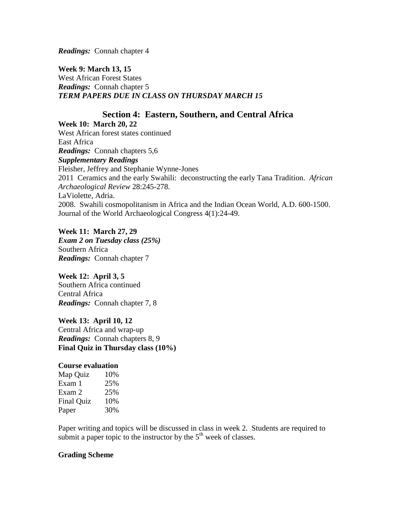*Readings:* Connah chapter 4

**Week 9: March 13, 15** West African Forest States *Readings:* Connah chapter 5

# *TERM PAPERS DUE IN CLASS ON THURSDAY MARCH 15*

# **Section 4: Eastern, Southern, and Central Africa**

**Week 10: March 20, 22** West African forest states continued East Africa *Readings:* Connah chapters 5,6 *Supplementary Readings* Fleisher, Jeffrey and Stephanie Wynne-Jones 2011 Ceramics and the early Swahili: deconstructing the early Tana Tradition. *African Archaeological Review* 28:245-278. LaViolette, Adria. 2008. Swahili cosmopolitanism in Africa and the Indian Ocean World, A.D. 600-1500. Journal of the World Archaeological Congress 4(1):24-49.

**Week 11: March 27, 29** *Exam 2 on Tuesday class (25%)*  Southern Africa *Readings:* Connah chapter 7

**Week 12: April 3, 5** Southern Africa continued Central Africa *Readings:* Connah chapter 7, 8

**Week 13: April 10, 12** Central Africa and wrap-up *Readings:* Connah chapters 8, 9 **Final Quiz in Thursday class (10%)**

## **Course evaluation**

| Map Quiz          | 10% |
|-------------------|-----|
| Exam 1            | 25% |
| Exam 2            | 25% |
| <b>Final Quiz</b> | 10% |
| Paper             | 30% |

Paper writing and topics will be discussed in class in week 2. Students are required to submit a paper topic to the instructor by the  $5<sup>th</sup>$  week of classes.

## **Grading Scheme**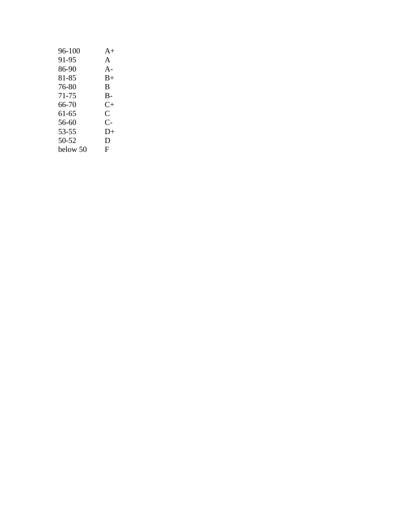| 96-100   | $A+$                 |
|----------|----------------------|
| 91-95    | A                    |
| 86-90    | $A -$                |
| 81-85    | $B+$                 |
| 76-80    | B                    |
| 71-75    | $B-$                 |
| 66-70    | $C+$                 |
| 61-65    | $\mathsf{C}$         |
| 56-60    | $\mathsf{C}\text{-}$ |
| 53-55    | $D+$                 |
| 50-52    | D                    |
| below 50 | F                    |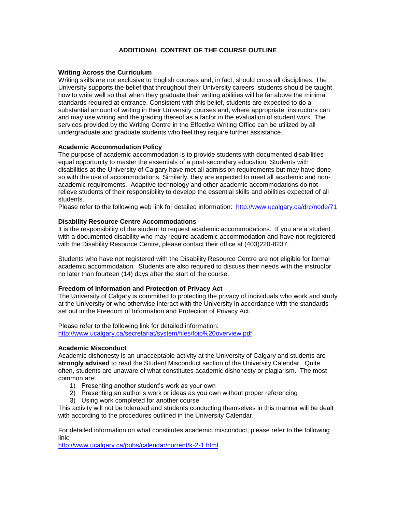### **ADDITIONAL CONTENT OF THE COURSE OUTLINE**

#### **Writing Across the Curriculum**

Writing skills are not exclusive to English courses and, in fact, should cross all disciplines. The University supports the belief that throughout their University careers, students should be taught how to write well so that when they graduate their writing abilities will be far above the minimal standards required at entrance. Consistent with this belief, students are expected to do a substantial amount of writing in their University courses and, where appropriate, instructors can and may use writing and the grading thereof as a factor in the evaluation of student work. The services provided by the Writing Centre in the Effective Writing Office can be utilized by all undergraduate and graduate students who feel they require further assistance.

#### **Academic Accommodation Policy**

The purpose of academic accommodation is to provide students with documented disabilities equal opportunity to master the essentials of a post-secondary education. Students with disabilities at the University of Calgary have met all admission requirements but may have done so with the use of accommodations. Similarly, they are expected to meet all academic and nonacademic requirements. Adaptive technology and other academic accommodations do not relieve students of their responsibility to develop the essential skills and abilities expected of all students.

Please refer to the following web link for detailed information: <http://www.ucalgary.ca/drc/node/71>

#### **Disability Resource Centre Accommodations**

It is the responsibility of the student to request academic accommodations. If you are a student with a documented disability who may require academic accommodation and have not registered with the Disability Resource Centre, please contact their office at (403)220-8237.

Students who have not registered with the Disability Resource Centre are not eligible for formal academic accommodation. Students are also required to discuss their needs with the instructor no later than fourteen (14) days after the start of the course.

#### **Freedom of Information and Protection of Privacy Act**

The University of Calgary is committed to protecting the privacy of individuals who work and study at the University or who otherwise interact with the University in accordance with the standards set out in the Freedom of Information and Protection of Privacy Act.

Please refer to the following link for detailed information: <http://www.ucalgary.ca/secretariat/system/files/foip%20overview.pdf>

#### **Academic Misconduct**

Academic dishonesty is an unacceptable activity at the University of Calgary and students are **strongly advised** to read the Student Misconduct section of the University Calendar. Quite often, students are unaware of what constitutes academic dishonesty or plagiarism. The most common are:

- 1) Presenting another student's work as your own
- 2) Presenting an author's work or ideas as you own without proper referencing
- 3) Using work completed for another course

This activity will not be tolerated and students conducting themselves in this manner will be dealt with according to the procedures outlined in the University Calendar.

For detailed information on what constitutes academic misconduct, please refer to the following link:

<http://www.ucalgary.ca/pubs/calendar/current/k-2-1.html>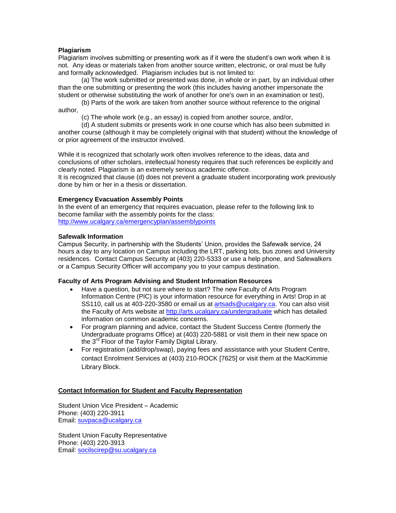### **Plagiarism**

Plagiarism involves submitting or presenting work as if it were the student's own work when it is not. Any ideas or materials taken from another source written, electronic, or oral must be fully and formally acknowledged. Plagiarism includes but is not limited to:

(a) The work submitted or presented was done, in whole or in part, by an individual other than the one submitting or presenting the work (this includes having another impersonate the student or otherwise substituting the work of another for one's own in an examination or test),

(b) Parts of the work are taken from another source without reference to the original author,

(c) The whole work (e.g., an essay) is copied from another source, and/or,

(d) A student submits or presents work in one course which has also been submitted in another course (although it may be completely original with that student) without the knowledge of or prior agreement of the instructor involved.

While it is recognized that scholarly work often involves reference to the ideas, data and conclusions of other scholars, intellectual honesty requires that such references be explicitly and clearly noted. Plagiarism is an extremely serious academic offence.

It is recognized that clause (d) does not prevent a graduate student incorporating work previously done by him or her in a thesis or dissertation.

### **Emergency Evacuation Assembly Points**

In the event of an emergency that requires evacuation, please refer to the following link to become familiar with the assembly points for the class: <http://www.ucalgary.ca/emergencyplan/assemblypoints>

### **Safewalk Information**

Campus Security, in partnership with the Students' Union, provides the Safewalk service, 24 hours a day to any location on Campus including the LRT, parking lots, bus zones and University residences. Contact Campus Security at (403) 220-5333 or use a help phone, and Safewalkers or a Campus Security Officer will accompany you to your campus destination.

#### **Faculty of Arts Program Advising and Student Information Resources**

- Have a question, but not sure where to start? The new Faculty of Arts Program Information Centre (PIC) is your information resource for everything in Arts! Drop in at SS110, call us at 403-220-3580 or email us at [artsads@ucalgary.ca.](mailto:artsads@ucalgary.ca) You can also visit the Faculty of Arts website at<http://arts.ucalgary.ca/undergraduate> which has detailed information on common academic concerns.
- For program planning and advice, contact the Student Success Centre (formerly the Undergraduate programs Office) at (403) 220-5881 or visit them in their new space on the 3<sup>rd</sup> Floor of the Taylor Family Digital Library.
- For registration (add/drop/swap), paying fees and assistance with your Student Centre, contact Enrolment Services at (403) 210-ROCK [7625] or visit them at the MacKimmie Library Block.

### **Contact Information for Student and Faculty Representation**

Student Union Vice President – Academic Phone: (403) 220-3911 Email: [suvpaca@ucalgary.ca](mailto:suvpaca@ucalgary.ca)

Student Union Faculty Representative Phone: (403) 220-3913 Email: [socilscirep@su.ucalgary.ca](mailto:socilscirep@su.ucalgary.ca)